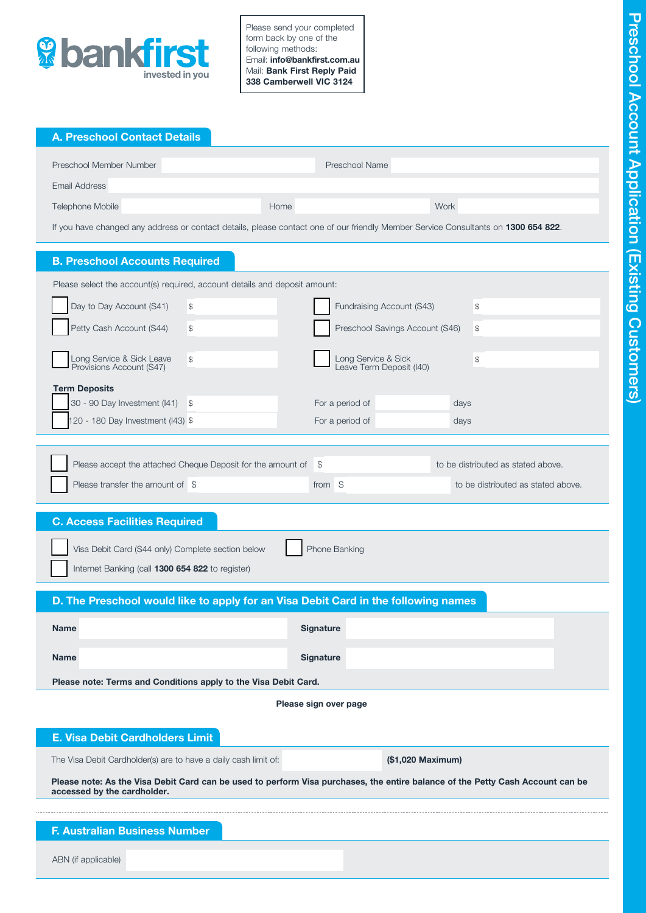

Please send your completed form back by one of the following methods: Email: info@bankfirst.com.au Mail: Bank First Reply Paid 338 Camberwell VIC 3124

| <b>A. Preschool Contact Details</b>                                                                                                                                                                                                                                                                                                                        |                                                       |  |
|------------------------------------------------------------------------------------------------------------------------------------------------------------------------------------------------------------------------------------------------------------------------------------------------------------------------------------------------------------|-------------------------------------------------------|--|
| Preschool Member Number                                                                                                                                                                                                                                                                                                                                    | Preschool Name                                        |  |
| <b>Email Address</b>                                                                                                                                                                                                                                                                                                                                       |                                                       |  |
| Telephone Mobile                                                                                                                                                                                                                                                                                                                                           | Home<br>Work                                          |  |
| If you have changed any address or contact details, please contact one of our friendly Member Service Consultants on 1300 654 822.                                                                                                                                                                                                                         |                                                       |  |
| <b>B. Preschool Accounts Required</b>                                                                                                                                                                                                                                                                                                                      |                                                       |  |
| Please select the account(s) required, account details and deposit amount:                                                                                                                                                                                                                                                                                 |                                                       |  |
| Day to Day Account (S41)<br>\$                                                                                                                                                                                                                                                                                                                             | Fundraising Account (S43)<br>\$                       |  |
| Petty Cash Account (S44)<br>\$                                                                                                                                                                                                                                                                                                                             | Preschool Savings Account (S46)<br>\$                 |  |
|                                                                                                                                                                                                                                                                                                                                                            |                                                       |  |
| Long Service & Sick Leave<br>\$<br>Provisions Account (S47)                                                                                                                                                                                                                                                                                                | Long Service & Sick<br>\$<br>Leave Term Deposit (I40) |  |
| <b>Term Deposits</b>                                                                                                                                                                                                                                                                                                                                       |                                                       |  |
| 30 - 90 Day Investment (I41)<br>$\mathcal{S}$                                                                                                                                                                                                                                                                                                              | For a period of<br>days                               |  |
| 120 - 180 Day Investment (I43) \$                                                                                                                                                                                                                                                                                                                          | For a period of<br>days                               |  |
| Please accept the attached Cheque Deposit for the amount of \$<br>to be distributed as stated above.<br>Please transfer the amount of \$<br>from S<br>to be distributed as stated above.<br><b>C. Access Facilities Required</b><br>Visa Debit Card (S44 only) Complete section below<br>Phone Banking<br>Internet Banking (call 1300 654 822 to register) |                                                       |  |
| D. The Preschool would like to apply for an Visa Debit Card in the following names                                                                                                                                                                                                                                                                         |                                                       |  |
| <b>Name</b>                                                                                                                                                                                                                                                                                                                                                | <b>Signature</b>                                      |  |
|                                                                                                                                                                                                                                                                                                                                                            |                                                       |  |
| <b>Name</b>                                                                                                                                                                                                                                                                                                                                                | <b>Signature</b>                                      |  |
| Please note: Terms and Conditions apply to the Visa Debit Card.                                                                                                                                                                                                                                                                                            |                                                       |  |
| Please sign over page                                                                                                                                                                                                                                                                                                                                      |                                                       |  |
| E. Visa Debit Cardholders Limit                                                                                                                                                                                                                                                                                                                            |                                                       |  |
| The Visa Debit Cardholder(s) are to have a daily cash limit of:                                                                                                                                                                                                                                                                                            | (\$1,020 Maximum)                                     |  |
| Please note: As the Visa Debit Card can be used to perform Visa purchases, the entire balance of the Petty Cash Account can be<br>accessed by the cardholder.                                                                                                                                                                                              |                                                       |  |
|                                                                                                                                                                                                                                                                                                                                                            |                                                       |  |
| <b>F. Australian Business Number</b>                                                                                                                                                                                                                                                                                                                       |                                                       |  |
| ABN (if applicable)                                                                                                                                                                                                                                                                                                                                        |                                                       |  |